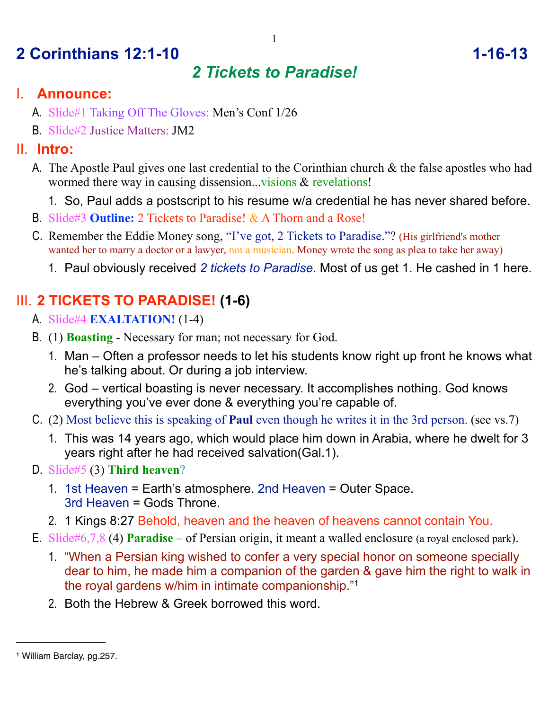# **2 Corinthians 12:1-10 1-16-13**

## *2 Tickets to Paradise!*

## I. **Announce:**

- A. Slide#1 Taking Off The Gloves: Men's Conf 1/26
- B. Slide#2 Justice Matters: JM2

### II. **Intro:**

- A. The Apostle Paul gives one last credential to the Corinthian church & the false apostles who had wormed there way in causing dissension...visions & revelations!
	- 1. So, Paul adds a postscript to his resume w/a credential he has never shared before.
- B. Slide#3 **Outline:** 2 Tickets to Paradise! & A Thorn and a Rose!
- C. Remember the Eddie Money song, "I've got, 2 Tickets to Paradise."? (His girlfriend's mother wanted her to marry a doctor or a lawyer, not a musician. Money wrote the song as plea to take her away)
	- 1. Paul obviously received *2 tickets to Paradise*. Most of us get 1. He cashed in 1 here.

## III. **2 TICKETS TO PARADISE! (1-6)**

- A. Slide#4 **EXALTATION!** (1-4)
- B. (1) **Boasting** Necessary for man; not necessary for God.
	- 1. Man Often a professor needs to let his students know right up front he knows what he's talking about. Or during a job interview.
	- 2. God vertical boasting is never necessary. It accomplishes nothing. God knows everything you've ever done & everything you're capable of.
- C. (2) Most believe this is speaking of **Paul** even though he writes it in the 3rd person. (see vs.7)
	- 1. This was 14 years ago, which would place him down in Arabia, where he dwelt for 3 years right after he had received salvation(Gal.1).
- D. Slide#5 (3) **Third heaven**?
	- 1. 1st Heaven = Earth's atmosphere. 2nd Heaven = Outer Space. 3rd Heaven = Gods Throne.
	- 2. 1 Kings 8:27 Behold, heaven and the heaven of heavens cannot contain You.
- E. Slide#6,7,8 (4) **Paradise** of Persian origin, it meant a walled enclosure (a royal enclosed park).
	- 1. "When a Persian king wished to confer a very special honor on someone specially dear to him, he made him a companion of the garden & gave him the right to walk in the royal gardens w/him in intimate companionship."[1](#page-0-0)
	- 2. Both the Hebrew & Greek borrowed this word.

<span id="page-0-0"></span><sup>1</sup> William Barclay, pg.257.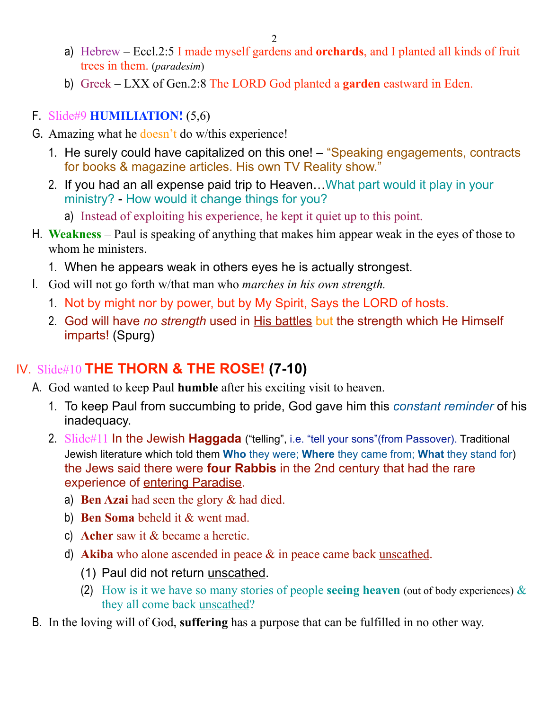- a) Hebrew Eccl.2:5 I made myself gardens and **orchards**, and I planted all kinds of fruit trees in them. (*paradesim*)
- b) Greek LXX of Gen.2:8 The LORD God planted a **garden** eastward in Eden.

#### F. Slide#9 **HUMILIATION!** (5,6)

- G. Amazing what he doesn't do w/this experience!
	- 1. He surely could have capitalized on this one! "Speaking engagements, contracts for books & magazine articles. His own TV Reality show."
	- 2. If you had an all expense paid trip to Heaven…What part would it play in your ministry? - How would it change things for you?
		- a) Instead of exploiting his experience, he kept it quiet up to this point.
- H. **Weakness** Paul is speaking of anything that makes him appear weak in the eyes of those to whom he ministers.
	- 1. When he appears weak in others eyes he is actually strongest.
- I. God will not go forth w/that man who *marches in his own strength.*
	- 1. Not by might nor by power, but by My Spirit, Says the LORD of hosts.
	- 2. God will have *no strength* used in His battles but the strength which He Himself imparts! (Spurg)

## IV. Slide#10 **THE THORN & THE ROSE! (7-10)**

- A. God wanted to keep Paul **humble** after his exciting visit to heaven.
	- 1. To keep Paul from succumbing to pride, God gave him this *constant reminder* of his inadequacy.
	- 2. Slide#11 In the Jewish **Haggada** ("telling", i.e. "tell your sons"(from Passover). Traditional Jewish literature which told them **Who** they were; **Where** they came from; **What** they stand for) the Jews said there were **four Rabbis** in the 2nd century that had the rare experience of entering Paradise.
		- a) **Ben Azai** had seen the glory & had died.
		- b) **Ben Soma** beheld it & went mad.
		- c) **Acher** saw it & became a heretic.
		- d) **Akiba** who alone ascended in peace & in peace came back unscathed.
			- (1) Paul did not return unscathed.
			- (2) How is it we have so many stories of people **seeing heaven** (out of body experiences) & they all come back unscathed?
- B. In the loving will of God, **suffering** has a purpose that can be fulfilled in no other way.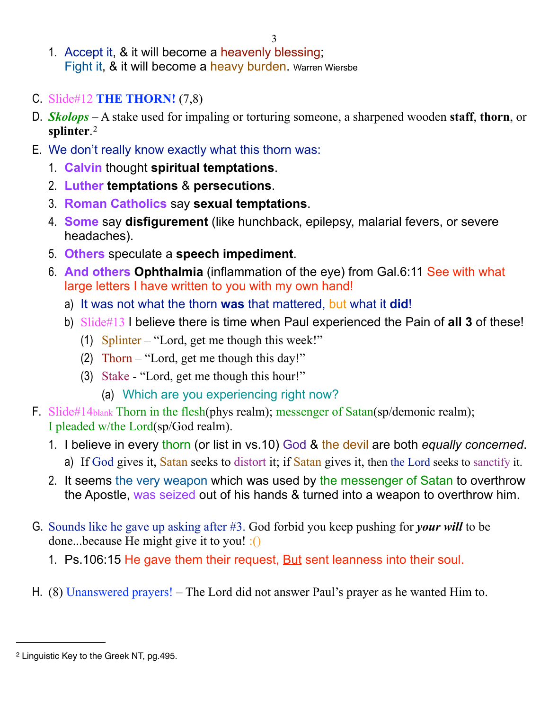3

- 1. Accept it, & it will become a heavenly blessing; Fight it, & it will become a heavy burden. Warren Wiersbe
- C. Slide#12 **THE THORN!** (7,8)
- D. *Skolops* A stake used for impaling or torturing someone, a sharpened wooden **staff**, **thorn**, or **splinter**. [2](#page-2-0)
- E. We don't really know exactly what this thorn was:
	- 1. **Calvin** thought **spiritual temptations**.
	- 2. **Luther temptations** & **persecutions**.
	- 3. **Roman Catholics** say **sexual temptations**.
	- 4. **Some** say **disfigurement** (like hunchback, epilepsy, malarial fevers, or severe headaches).
	- 5. **Others** speculate a **speech impediment**.
	- 6. **And others Ophthalmia** (inflammation of the eye) from Gal.6:11 See with what large letters I have written to you with my own hand!
		- a) It was not what the thorn **was** that mattered, but what it **did**!
		- b) Slide#13 I believe there is time when Paul experienced the Pain of **all 3** of these!
			- (1) Splinter "Lord, get me though this week!"
			- (2) Thorn "Lord, get me though this day!"
			- (3) Stake "Lord, get me though this hour!"
				- (a) Which are you experiencing right now?
- F. Slide#14blank Thorn in the flesh(phys realm); messenger of Satan(sp/demonic realm); I pleaded w/the Lord(sp/God realm).
	- 1. I believe in every thorn (or list in vs.10) God & the devil are both *equally concerned*. a) If God gives it, Satan seeks to distort it; if Satan gives it, then the Lord seeks to sanctify it.
	- 2. It seems the very weapon which was used by the messenger of Satan to overthrow the Apostle, was seized out of his hands & turned into a weapon to overthrow him.
- G. Sounds like he gave up asking after #3. God forbid you keep pushing for *your will* to be done...because He might give it to you! :()
	- 1. Ps.106:15 He gave them their request, But sent leanness into their soul.
- H. (8) Unanswered prayers! The Lord did not answer Paul's prayer as he wanted Him to.

<span id="page-2-0"></span><sup>2</sup> Linguistic Key to the Greek NT, pg.495.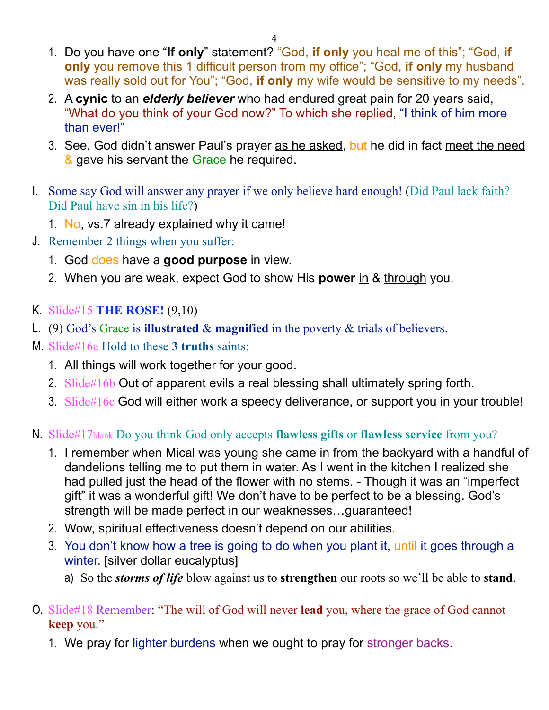- 1. Do you have one "**If only**" statement? "God, **if only** you heal me of this"; "God, **if only** you remove this 1 difficult person from my office"; "God, **if only** my husband was really sold out for You"; "God, **if only** my wife would be sensitive to my needs".
- 2. A **cynic** to an *elderly believer* who had endured great pain for 20 years said, "What do you think of your God now?" To which she replied, "I think of him more than ever!"
- 3. See, God didn't answer Paul's prayer as he asked, but he did in fact meet the need & gave his servant the Grace he required.
- I. Some say God will answer any prayer if we only believe hard enough! (Did Paul lack faith? Did Paul have sin in his life?)
	- 1. No, vs.7 already explained why it came!
- J. Remember 2 things when you suffer:
	- 1. God does have a **good purpose** in view.
	- 2. When you are weak, expect God to show His **power** in & through you.
- K. Slide#15 **THE ROSE!** (9,10)
- L. (9) God's Grace is **illustrated** & **magnified** in the poverty & trials of believers.
- M. Slide#16a Hold to these **3 truths** saints:
	- 1. All things will work together for your good.
	- 2. Slide#16b Out of apparent evils a real blessing shall ultimately spring forth.
	- 3. Slide#16c God will either work a speedy deliverance, or support you in your trouble!
- N. Slide#17blank Do you think God only accepts **flawless gifts** or **flawless service** from you?
	- 1. I remember when Mical was young she came in from the backyard with a handful of dandelions telling me to put them in water. As I went in the kitchen I realized she had pulled just the head of the flower with no stems. - Though it was an "imperfect gift" it was a wonderful gift! We don't have to be perfect to be a blessing. God's strength will be made perfect in our weaknesses…guaranteed!
	- 2. Wow, spiritual effectiveness doesn't depend on our abilities.
	- 3. You don't know how a tree is going to do when you plant it, until it goes through a winter. [silver dollar eucalyptus]
		- a) So the *storms of life* blow against us to **strengthen** our roots so we'll be able to **stand**.
- O. Slide#18 Remember: "The will of God will never **lead** you, where the grace of God cannot **keep** you."
	- 1. We pray for lighter burdens when we ought to pray for stronger backs.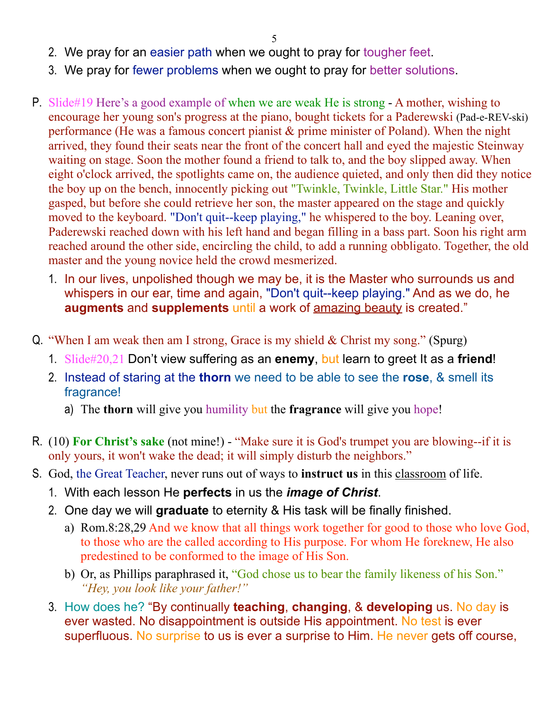5

- 2. We pray for an easier path when we ought to pray for tougher feet.
- 3. We pray for fewer problems when we ought to pray for better solutions.
- P. Slide#19 Here's a good example of when we are weak He is strong A mother, wishing to encourage her young son's progress at the piano, bought tickets for a Paderewski (Pad-e-REV-ski) performance (He was a famous concert pianist & prime minister of Poland). When the night arrived, they found their seats near the front of the concert hall and eyed the majestic Steinway waiting on stage. Soon the mother found a friend to talk to, and the boy slipped away. When eight o'clock arrived, the spotlights came on, the audience quieted, and only then did they notice the boy up on the bench, innocently picking out "Twinkle, Twinkle, Little Star." His mother gasped, but before she could retrieve her son, the master appeared on the stage and quickly moved to the keyboard. "Don't quit--keep playing," he whispered to the boy. Leaning over, Paderewski reached down with his left hand and began filling in a bass part. Soon his right arm reached around the other side, encircling the child, to add a running obbligato. Together, the old master and the young novice held the crowd mesmerized.
	- 1. In our lives, unpolished though we may be, it is the Master who surrounds us and whispers in our ear, time and again, "Don't quit--keep playing." And as we do, he **augments** and **supplements** until a work of amazing beauty is created."
- Q. "When I am weak then am I strong, Grace is my shield & Christ my song." (Spurg)
	- 1. Slide#20,21 Don't view suffering as an **enemy**, but learn to greet It as a **friend**!
	- 2. Instead of staring at the **thorn** we need to be able to see the **rose**, & smell its fragrance!
		- a) The **thorn** will give you humility but the **fragrance** will give you hope!
- R. (10) **For Christ's sake** (not mine!) "Make sure it is God's trumpet you are blowing--if it is only yours, it won't wake the dead; it will simply disturb the neighbors."
- S. God, the Great Teacher, never runs out of ways to **instruct us** in this classroom of life.
	- 1. With each lesson He **perfects** in us the *image of Christ*.
	- 2. One day we will **graduate** to eternity & His task will be finally finished.
		- a) Rom.8:28,29 And we know that all things work together for good to those who love God, to those who are the called according to His purpose. For whom He foreknew, He also predestined to be conformed to the image of His Son.
		- b) Or, as Phillips paraphrased it, "God chose us to bear the family likeness of his Son." *"Hey, you look like your father!"*
	- 3. How does he? "By continually **teaching**, **changing**, & **developing** us. No day is ever wasted. No disappointment is outside His appointment. No test is ever superfluous. No surprise to us is ever a surprise to Him. He never gets off course,